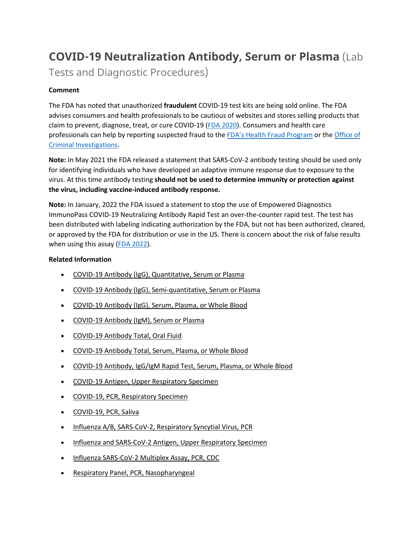# **COVID-19 Neutralization Antibody, Serum or Plasma** (Lab

Tests and Diagnostic Procedures)

# **Comment**

The FDA has noted that unauthorized **fraudulent** COVID-19 test kits are being sold online. The FDA advises consumers and health professionals to be cautious of websites and stores selling products that claim to prevent, diagnose, treat, or cure COVID-19 [\(FDA 2020\)](https://www.fda.gov/consumers/consumer-updates/beware-fraudulent-coronavirus-tests-vaccines-and-treatments?utm_campaign=FDA%20MedWatch%20-%20Fraudulent%20Coronavirus%20Tests%2C%20Vaccines%20and%20Treatments&utm_medium=email&utm_source=Eloqua). Consumers and health care professionals can help by reporting suspected fraud to the [FDA's Health Fraud Program](https://www.fda.gov/safety/report-problem-fda/reporting-unlawful-sales-medical-products-internet) or the [Office of](https://www.accessdata.fda.gov/scripts/email/oc/oci/contact.cfm)  [Criminal Investigations.](https://www.accessdata.fda.gov/scripts/email/oc/oci/contact.cfm)

**Note:** In May 2021 the FDA released a statement that SARS-CoV-2 antibody testing should be used only for identifying individuals who have developed an adaptive immune response due to exposure to the virus. At this time antibody testing **should not be used to determine immunity or protection against the virus, including vaccine-induced antibody response.**

**Note:** In January, 2022 the FDA issued a statement to stop the use of Empowered Diagnostics ImmunoPass COVID-19 Neutralizing Antibody Rapid Test an over-the-counter rapid test. The test has been distributed with labeling indicating authorization by the FDA, but not has been authorized, cleared, or approved by the FDA for distribution or use in the US. There is concern about the risk of false results when using this assay [\(FDA 2022\)](https://www.fda.gov/medical-devices/safety-communications/stop-using-empowered-diagnostics-covid-19-tests-fda-safety-communication).

# **Related Information**

- [COVID-19 Antibody \(IgG\), Quantitative, Serum or Plasma](https://online.lexi.com/lco/action/doc/retrieve/docid/lthdph/7121093)
- [COVID-19 Antibody \(IgG\), Semi-quantitative, Serum or Plasma](https://online.lexi.com/lco/action/doc/retrieve/docid/lthdph/7077895)
- [COVID-19 Antibody \(IgG\), Serum, Plasma, or Whole Blood](https://online.lexi.com/lco/action/doc/retrieve/docid/lthdph/6940954)
- [COVID-19 Antibody \(IgM\), Serum or Plasma](https://online.lexi.com/lco/action/doc/retrieve/docid/lthdph/7150051)
- [COVID-19 Antibody Total, Oral Fluid](https://online.lexi.com/lco/action/doc/retrieve/docid/lthdph/7111648)
- [COVID-19 Antibody Total, Serum, Plasma, or Whole Blood](https://online.lexi.com/lco/action/doc/retrieve/docid/lthdph/6946612)
- [COVID-19 Antibody, IgG/IgM Rapid Test, Serum, Plasma, or Whole Blood](https://online.lexi.com/lco/action/doc/retrieve/docid/lthdph/6935326)
- [COVID-19 Antigen, Upper Respiratory Specimen](https://online.lexi.com/lco/action/doc/retrieve/docid/lthdph/6947693)
- [COVID-19, PCR, Respiratory Specimen](https://online.lexi.com/lco/action/doc/retrieve/docid/lthdph/6920837)
- [COVID-19, PCR, Saliva](https://online.lexi.com/lco/action/doc/retrieve/docid/lthdph/6958856)
- [Influenza A/B, SARS-CoV-2, Respiratory Syncytial Virus, PCR](https://online.lexi.com/lco/action/doc/retrieve/docid/lthdph/7128794)
- [Influenza and SARS-CoV-2 Antigen, Upper Respiratory Specimen](https://online.lexi.com/lco/action/doc/retrieve/docid/lthdph/7063859)
- [Influenza SARS-CoV-2 Multiplex Assay, PCR, CDC](https://online.lexi.com/lco/action/doc/retrieve/docid/lthdph/6990707)
- [Respiratory Panel, PCR, Nasopharyngeal](https://online.lexi.com/lco/action/doc/retrieve/docid/lthdph/7106510)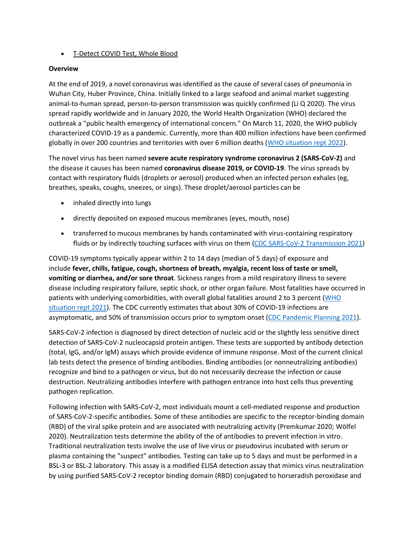## • [T-Detect COVID Test, Whole Blood](https://online.lexi.com/lco/action/doc/retrieve/docid/lthdph/7145964)

### **Overview**

At the end of 2019, a novel coronavirus was identified as the cause of several cases of pneumonia in Wuhan City, Huber Province, China. Initially linked to a large seafood and animal market suggesting animal-to-human spread, person-to-person transmission was quickly confirmed (Li Q 2020). The virus spread rapidly worldwide and in January 2020, the World Health Organization (WHO) declared the outbreak a "public health emergency of international concern." On March 11, 2020, the WHO publicly characterized COVID-19 as a pandemic. Currently, more than 400 million infections have been confirmed globally in over 200 countries and territories with over 6 million deaths [\(WHO situation rept 2022\)](https://www.who.int/emergencies/diseases/novel-coronavirus-2019/situation-reports).

The novel virus has been named **severe acute respiratory syndrome coronavirus 2 (SARS-CoV-2)** and the disease it causes has been named **coronavirus disease 2019, or COVID-19**. The virus spreads by contact with respiratory fluids (droplets or aerosol) produced when an infected person exhales (eg, breathes, speaks, coughs, sneezes, or sings). These droplet/aerosol particles can be

- inhaled directly into lungs
- directly deposited on exposed mucous membranes (eyes, mouth, nose)
- transferred to mucous membranes by hands contaminated with virus-containing respiratory fluids or by indirectly touching surfaces with virus on them [\(CDC SARS-CoV-2 Transmission 2021\)](https://www.cdc.gov/coronavirus/2019-ncov/science/science-briefs/sars-cov-2-transmission.html)

COVID-19 symptoms typically appear within 2 to 14 days (median of 5 days) of exposure and include **fever, chills, fatigue, cough, shortness of breath, myalgia, recent loss of taste or smell, vomiting or diarrhea, and/or sore throat**. Sickness ranges from a mild respiratory illness to severe disease including respiratory failure, septic shock, or other organ failure. Most fatalities have occurred in patients with underlying comorbidities, with overall global fatalities around 2 to 3 percent [\(WHO](https://www.who.int/emergencies/diseases/novel-coronavirus-2019/situation-reports)  [situation rept 2021\)](https://www.who.int/emergencies/diseases/novel-coronavirus-2019/situation-reports). The CDC currently estimates that about 30% of COVID-19 infections are asymptomatic, and 50% of transmission occurs prior to symptom onset [\(CDC Pandemic Planning 2021\)](https://www.cdc.gov/coronavirus/2019-ncov/hcp/planning-scenarios.html).

SARS-CoV-2 infection is diagnosed by direct detection of nucleic acid or the slightly less sensitive direct detection of SARS-CoV-2 nucleocapsid protein antigen. These tests are supported by antibody detection (total, IgG, and/or IgM) assays which provide evidence of immune response. Most of the current clinical lab tests detect the presence of binding antibodies. Binding antibodies (or nonneutralizing antibodies) recognize and bind to a pathogen or virus, but do not necessarily decrease the infection or cause destruction. Neutralizing antibodies interfere with pathogen entrance into host cells thus preventing pathogen replication.

Following infection with SARS-CoV-2, most individuals mount a cell-mediated response and production of SARS-CoV-2-specific antibodies. Some of these antibodies are specific to the receptor-binding domain (RBD) of the viral spike protein and are associated with neutralizing activity (Premkumar 2020; Wölfel 2020). Neutralization tests determine the ability of the of antibodies to prevent infection in vitro. Traditional neutralization tests involve the use of live virus or pseudovirus incubated with serum or plasma containing the "suspect" antibodies. Testing can take up to 5 days and must be performed in a BSL-3 or BSL-2 laboratory. This assay is a modified ELISA detection assay that mimics virus neutralization by using purified SARS-CoV-2 receptor binding domain (RBD) conjugated to horseradish peroxidase and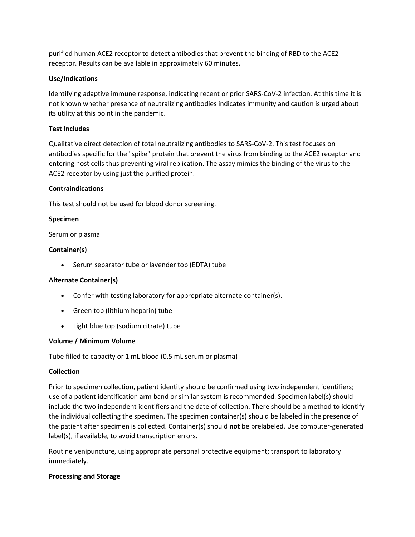purified human ACE2 receptor to detect antibodies that prevent the binding of RBD to the ACE2 receptor. Results can be available in approximately 60 minutes.

# **Use/Indications**

Identifying adaptive immune response, indicating recent or prior SARS-CoV-2 infection. At this time it is not known whether presence of neutralizing antibodies indicates immunity and caution is urged about its utility at this point in the pandemic.

## **Test Includes**

Qualitative direct detection of total neutralizing antibodies to SARS-CoV-2. This test focuses on antibodies specific for the "spike" protein that prevent the virus from binding to the ACE2 receptor and entering host cells thus preventing viral replication. The assay mimics the binding of the virus to the ACE2 receptor by using just the purified protein.

### **Contraindications**

This test should not be used for blood donor screening.

### **Specimen**

Serum or plasma

### **Container(s)**

• Serum separator tube or lavender top (EDTA) tube

### **Alternate Container(s)**

- Confer with testing laboratory for appropriate alternate container(s).
- Green top (lithium heparin) tube
- Light blue top (sodium citrate) tube

### **Volume / Minimum Volume**

Tube filled to capacity or 1 mL blood (0.5 mL serum or plasma)

### **Collection**

Prior to specimen collection, patient identity should be confirmed using two independent identifiers; use of a patient identification arm band or similar system is recommended. Specimen label(s) should include the two independent identifiers and the date of collection. There should be a method to identify the individual collecting the specimen. The specimen container(s) should be labeled in the presence of the patient after specimen is collected. Container(s) should **not** be prelabeled. Use computer-generated label(s), if available, to avoid transcription errors.

Routine venipuncture, using appropriate personal protective equipment; transport to laboratory immediately.

### **Processing and Storage**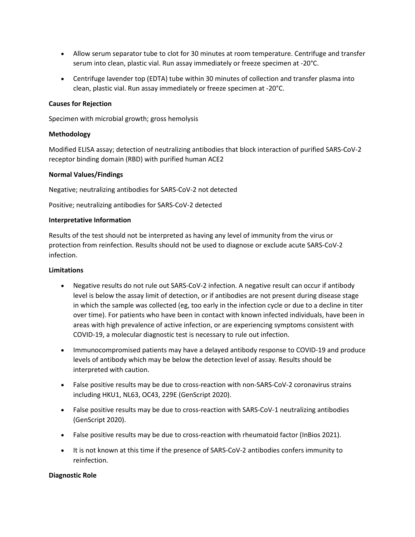- Allow serum separator tube to clot for 30 minutes at room temperature. Centrifuge and transfer serum into clean, plastic vial. Run assay immediately or freeze specimen at -20°C.
- Centrifuge lavender top (EDTA) tube within 30 minutes of collection and transfer plasma into clean, plastic vial. Run assay immediately or freeze specimen at -20°C.

### **Causes for Rejection**

Specimen with microbial growth; gross hemolysis

#### **Methodology**

Modified ELISA assay; detection of neutralizing antibodies that block interaction of purified SARS-CoV-2 receptor binding domain (RBD) with purified human ACE2

#### **Normal Values/Findings**

Negative; neutralizing antibodies for SARS-CoV-2 not detected

Positive; neutralizing antibodies for SARS-CoV-2 detected

#### **Interpretative Information**

Results of the test should not be interpreted as having any level of immunity from the virus or protection from reinfection. Results should not be used to diagnose or exclude acute SARS-CoV-2 infection.

#### **Limitations**

- Negative results do not rule out SARS-CoV-2 infection. A negative result can occur if antibody level is below the assay limit of detection, or if antibodies are not present during disease stage in which the sample was collected (eg, too early in the infection cycle or due to a decline in titer over time). For patients who have been in contact with known infected individuals, have been in areas with high prevalence of active infection, or are experiencing symptoms consistent with COVID-19, a molecular diagnostic test is necessary to rule out infection.
- Immunocompromised patients may have a delayed antibody response to COVID-19 and produce levels of antibody which may be below the detection level of assay. Results should be interpreted with caution.
- False positive results may be due to cross-reaction with non-SARS-CoV-2 coronavirus strains including HKU1, NL63, OC43, 229E (GenScript 2020).
- False positive results may be due to cross-reaction with SARS-CoV-1 neutralizing antibodies (GenScript 2020).
- False positive results may be due to cross-reaction with rheumatoid factor (InBios 2021).
- It is not known at this time if the presence of SARS-CoV-2 antibodies confers immunity to reinfection.

### **Diagnostic Role**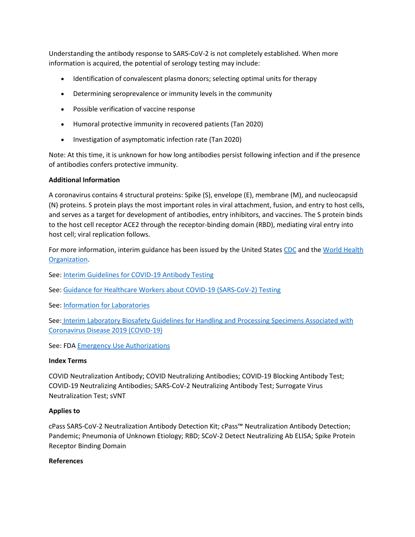Understanding the antibody response to SARS-CoV-2 is not completely established. When more information is acquired, the potential of serology testing may include:

- Identification of convalescent plasma donors; selecting optimal units for therapy
- Determining seroprevalence or immunity levels in the community
- Possible verification of vaccine response
- Humoral protective immunity in recovered patients (Tan 2020)
- Investigation of asymptomatic infection rate (Tan 2020)

Note: At this time, it is unknown for how long antibodies persist following infection and if the presence of antibodies confers protective immunity.

# **Additional Information**

A coronavirus contains 4 structural proteins: Spike (S), envelope (E), membrane (M), and nucleocapsid (N) proteins. S protein plays the most important roles in viral attachment, fusion, and entry to host cells, and serves as a target for development of antibodies, entry inhibitors, and vaccines. The S protein binds to the host cell receptor ACE2 through the receptor-binding domain (RBD), mediating viral entry into host cell; viral replication follows.

For more information, interim guidance has been issued by the United States [CDC](https://www.cdc.gov/coronavirus/2019-ncov/index.html) and the World Health [Organization.](https://www.who.int/emergencies/diseases/novel-coronavirus-2019)

See: [Interim Guidelines for COVID-19 Antibody Testing](https://www.cdc.gov/coronavirus/2019-ncov/lab/resources/antibody-tests-guidelines.html)

See: [Guidance for Healthcare Workers about COVID-19 \(SARS-CoV-2\) Testing](https://www.cdc.gov/coronavirus/2019-ncov/hcp/testing.html)

See: [Information for Laboratories](https://www.cdc.gov/coronavirus/2019-ncov/lab/index.html?CDC_AA_refVal=https%3A%2F%2Fwww.cdc.gov%2Fcoronavirus%2F2019-ncov%2Fguidance-laboratories.html)

See: [Interim Laboratory Biosafety Guidelines for Handling and Processing Specimens Associated with](https://www.cdc.gov/coronavirus/2019-ncov/lab/lab-biosafety-guidelines.html?CDC_AA_refVal=https%3A%2F%2Fwww.cdc.gov%2Fcoronavirus%2F2019-ncov%2Flab-biosafety-guidelines.html)  [Coronavirus Disease 2019 \(COVID-19\)](https://www.cdc.gov/coronavirus/2019-ncov/lab/lab-biosafety-guidelines.html?CDC_AA_refVal=https%3A%2F%2Fwww.cdc.gov%2Fcoronavirus%2F2019-ncov%2Flab-biosafety-guidelines.html)

See: FDA [Emergency Use Authorizations](https://www.fda.gov/emergency-preparedness-and-response/mcm-legal-regulatory-and-policy-framework/emergency-use-authorization)

### **Index Terms**

COVID Neutralization Antibody; COVID Neutralizing Antibodies; COVID-19 Blocking Antibody Test; COVID-19 Neutralizing Antibodies; SARS-CoV-2 Neutralizing Antibody Test; Surrogate Virus Neutralization Test; sVNT

### **Applies to**

cPass SARS-CoV-2 Neutralization Antibody Detection Kit; cPass™ Neutralization Antibody Detection; Pandemic; Pneumonia of Unknown Etiology; RBD; SCoV-2 Detect Neutralizing Ab ELISA; Spike Protein Receptor Binding Domain

### **References**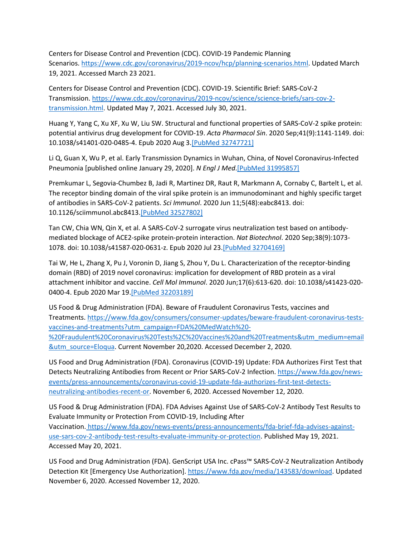Centers for Disease Control and Prevention (CDC). COVID-19 Pandemic Planning Scenarios. [https://www.cdc.gov/coronavirus/2019-ncov/hcp/planning-scenarios.html.](https://www.cdc.gov/coronavirus/2019-ncov/hcp/planning-scenarios.html) Updated March 19, 2021. Accessed March 23 2021.

Centers for Disease Control and Prevention (CDC). COVID-19. Scientific Brief: SARS-CoV-2 Transmission. [https://www.cdc.gov/coronavirus/2019-ncov/science/science-briefs/sars-cov-2](https://www.cdc.gov/coronavirus/2019-ncov/science/science-briefs/sars-cov-2-transmission.html) [transmission.html.](https://www.cdc.gov/coronavirus/2019-ncov/science/science-briefs/sars-cov-2-transmission.html) Updated May 7, 2021. Accessed July 30, 2021.

Huang Y, Yang C, Xu XF, Xu W, Liu SW. Structural and functional properties of SARS-CoV-2 spike protein: potential antivirus drug development for COVID-19. *Acta Pharmacol Sin*. 2020 Sep;41(9):1141-1149. doi: 10.1038/s41401-020-0485-4. Epub 2020 Aug 3[.\[PubMed 32747721\]](https://www.ncbi.nlm.nih.gov/entrez/query.fcgi?cmd=Retrieve&db=pubmed&dopt=Abstract&list_uids=32747721)

Li Q, Guan X, Wu P, et al. Early Transmission Dynamics in Wuhan, China, of Novel Coronavirus-Infected Pneumonia [published online January 29, 2020]. *N Engl J Med*[.\[PubMed 31995857\]](https://www.ncbi.nlm.nih.gov/entrez/query.fcgi?cmd=Retrieve&db=pubmed&dopt=Abstract&list_uids=31995857)

Premkumar L, Segovia-Chumbez B, Jadi R, Martinez DR, Raut R, Markmann A, Cornaby C, Bartelt L, et al. The receptor binding domain of the viral spike protein is an immunodominant and highly specific target of antibodies in SARS-CoV-2 patients. *Sci Immunol*. 2020 Jun 11;5(48):eabc8413. doi: 10.1126/sciimmunol.abc8413[.\[PubMed 32527802\]](https://www.ncbi.nlm.nih.gov/entrez/query.fcgi?cmd=Retrieve&db=pubmed&dopt=Abstract&list_uids=32527802)

Tan CW, Chia WN, Qin X, et al. A SARS-CoV-2 surrogate virus neutralization test based on antibodymediated blockage of ACE2-spike protein-protein interaction. *Nat Biotechnol*. 2020 Sep;38(9):1073- 1078. doi: 10.1038/s41587-020-0631-z. Epub 2020 Jul 2[3.\[PubMed 32704169\]](https://www.ncbi.nlm.nih.gov/entrez/query.fcgi?cmd=Retrieve&db=pubmed&dopt=Abstract&list_uids=32704169)

Tai W, He L, Zhang X, Pu J, Voronin D, Jiang S, Zhou Y, Du L. Characterization of the receptor-binding domain (RBD) of 2019 novel coronavirus: implication for development of RBD protein as a viral attachment inhibitor and vaccine. *Cell Mol Immunol*. 2020 Jun;17(6):613-620. doi: 10.1038/s41423-020- 0400-4. Epub 2020 Mar 19[.\[PubMed 32203189\]](https://www.ncbi.nlm.nih.gov/entrez/query.fcgi?cmd=Retrieve&db=pubmed&dopt=Abstract&list_uids=32203189)

US Food & Drug Administration (FDA). Beware of Fraudulent Coronavirus Tests, vaccines and Treatments. [https://www.fda.gov/consumers/consumer-updates/beware-fraudulent-coronavirus-tests](https://www.fda.gov/consumers/consumer-updates/beware-fraudulent-coronavirus-tests-vaccines-and-treatments?utm_campaign=FDA%20MedWatch%20-%20Fraudulent%20Coronavirus%20Tests%2C%20Vaccines%20and%20Treatments&utm_medium=email&utm_source=Eloqua)[vaccines-and-treatments?utm\\_campaign=FDA%20MedWatch%20-](https://www.fda.gov/consumers/consumer-updates/beware-fraudulent-coronavirus-tests-vaccines-and-treatments?utm_campaign=FDA%20MedWatch%20-%20Fraudulent%20Coronavirus%20Tests%2C%20Vaccines%20and%20Treatments&utm_medium=email&utm_source=Eloqua) [%20Fraudulent%20Coronavirus%20Tests%2C%20Vaccines%20and%20Treatments&utm\\_medium=email](https://www.fda.gov/consumers/consumer-updates/beware-fraudulent-coronavirus-tests-vaccines-and-treatments?utm_campaign=FDA%20MedWatch%20-%20Fraudulent%20Coronavirus%20Tests%2C%20Vaccines%20and%20Treatments&utm_medium=email&utm_source=Eloqua) [&utm\\_source=Eloqua.](https://www.fda.gov/consumers/consumer-updates/beware-fraudulent-coronavirus-tests-vaccines-and-treatments?utm_campaign=FDA%20MedWatch%20-%20Fraudulent%20Coronavirus%20Tests%2C%20Vaccines%20and%20Treatments&utm_medium=email&utm_source=Eloqua) Current November 20,2020. Accessed December 2, 2020.

US Food and Drug Administration (FDA). Coronavirus (COVID-19) Update: FDA Authorizes First Test that Detects Neutralizing Antibodies from Recent or Prior SARS-CoV-2 Infection. [https://www.fda.gov/news](https://www.fda.gov/news-events/press-announcements/coronavirus-covid-19-update-fda-authorizes-first-test-detects-neutralizing-antibodies-recent-or)[events/press-announcements/coronavirus-covid-19-update-fda-authorizes-first-test-detects](https://www.fda.gov/news-events/press-announcements/coronavirus-covid-19-update-fda-authorizes-first-test-detects-neutralizing-antibodies-recent-or)[neutralizing-antibodies-recent-or.](https://www.fda.gov/news-events/press-announcements/coronavirus-covid-19-update-fda-authorizes-first-test-detects-neutralizing-antibodies-recent-or) November 6, 2020. Accessed November 12, 2020.

US Food & Drug Administration (FDA). FDA Advises Against Use of SARS-CoV-2 Antibody Test Results to Evaluate Immunity or Protection From COVID-19, Including After Vaccination. [https://www.fda.gov/news-events/press-announcements/fda-brief-fda-advises-against](https://www.fda.gov/news-events/press-announcements/fda-brief-fda-advises-against-use-sars-cov-2-antibody-test-results-evaluate-immunity-or-protection)[use-sars-cov-2-antibody-test-results-evaluate-immunity-or-protection.](https://www.fda.gov/news-events/press-announcements/fda-brief-fda-advises-against-use-sars-cov-2-antibody-test-results-evaluate-immunity-or-protection) Published May 19, 2021. Accessed May 20, 2021.

US Food and Drug Administration (FDA). GenScript USA Inc. cPass™ SARS-CoV-2 Neutralization Antibody Detection Kit [Emergency Use Authorization]. [https://www.fda.gov/media/143583/download.](https://www.fda.gov/media/143583/download) Updated November 6, 2020. Accessed November 12, 2020.